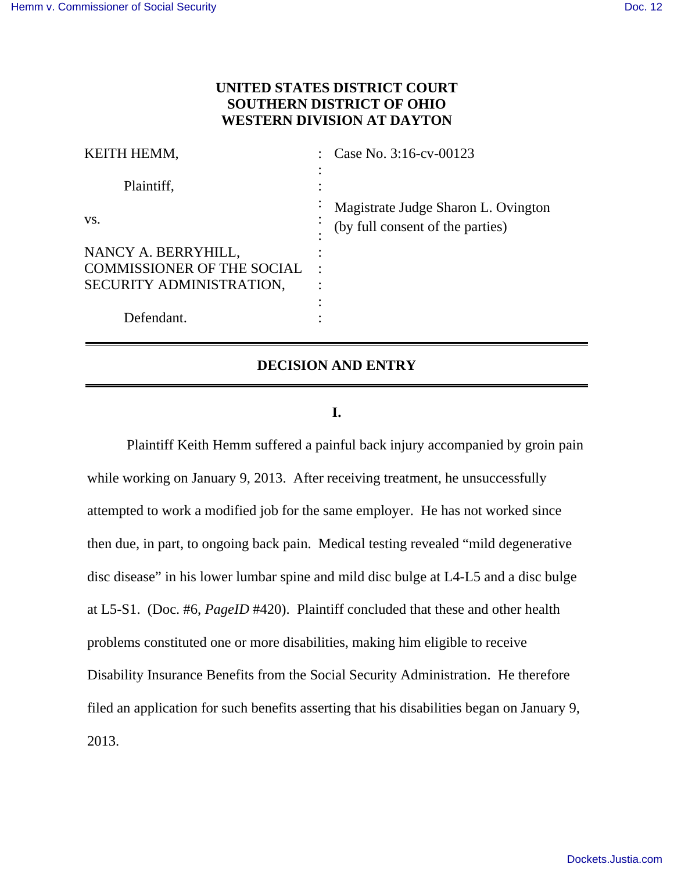# **UNITED STATES DISTRICT COURT SOUTHERN DISTRICT OF OHIO WESTERN DIVISION AT DAYTON**

| KEITH HEMM,                       | Case No. 3:16-cv-00123                                                  |
|-----------------------------------|-------------------------------------------------------------------------|
| Plaintiff,                        |                                                                         |
| VS.                               | Magistrate Judge Sharon L. Ovington<br>(by full consent of the parties) |
| NANCY A. BERRYHILL,               |                                                                         |
| <b>COMMISSIONER OF THE SOCIAL</b> |                                                                         |
| SECURITY ADMINISTRATION,          |                                                                         |
|                                   |                                                                         |
| Defendant.                        |                                                                         |

# **DECISION AND ENTRY**

### **I.**

 Plaintiff Keith Hemm suffered a painful back injury accompanied by groin pain while working on January 9, 2013. After receiving treatment, he unsuccessfully attempted to work a modified job for the same employer. He has not worked since then due, in part, to ongoing back pain. Medical testing revealed "mild degenerative disc disease" in his lower lumbar spine and mild disc bulge at L4-L5 and a disc bulge at L5-S1. (Doc. #6, *PageID* #420). Plaintiff concluded that these and other health problems constituted one or more disabilities, making him eligible to receive Disability Insurance Benefits from the Social Security Administration. He therefore filed an application for such benefits asserting that his disabilities began on January 9, 2013.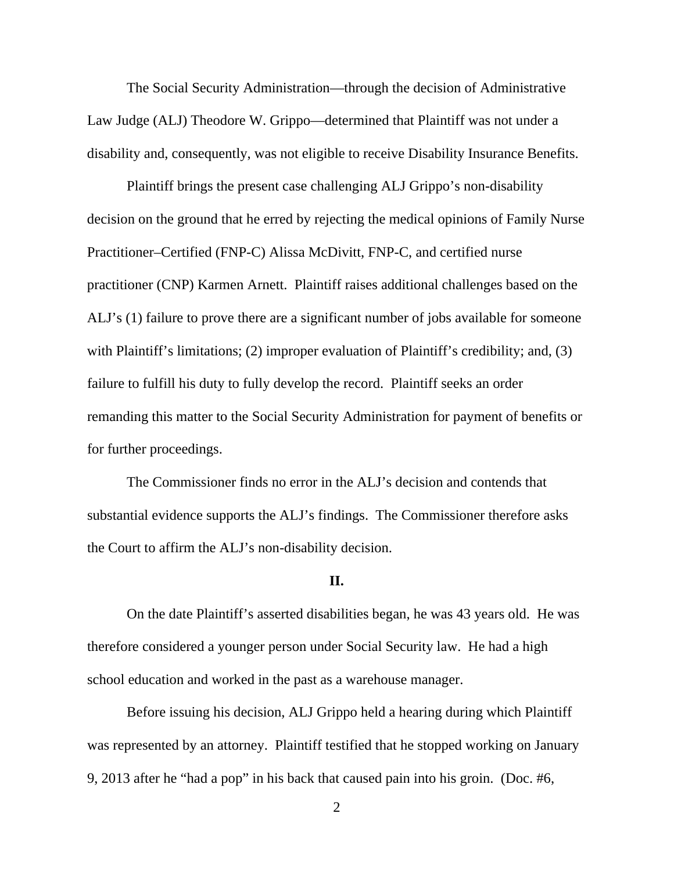The Social Security Administration—through the decision of Administrative Law Judge (ALJ) Theodore W. Grippo—determined that Plaintiff was not under a disability and, consequently, was not eligible to receive Disability Insurance Benefits.

 Plaintiff brings the present case challenging ALJ Grippo's non-disability decision on the ground that he erred by rejecting the medical opinions of Family Nurse Practitioner–Certified (FNP-C) Alissa McDivitt, FNP-C, and certified nurse practitioner (CNP) Karmen Arnett. Plaintiff raises additional challenges based on the ALJ's (1) failure to prove there are a significant number of jobs available for someone with Plaintiff's limitations; (2) improper evaluation of Plaintiff's credibility; and, (3) failure to fulfill his duty to fully develop the record. Plaintiff seeks an order remanding this matter to the Social Security Administration for payment of benefits or for further proceedings.

 The Commissioner finds no error in the ALJ's decision and contends that substantial evidence supports the ALJ's findings. The Commissioner therefore asks the Court to affirm the ALJ's non-disability decision.

#### **II.**

On the date Plaintiff's asserted disabilities began, he was 43 years old. He was therefore considered a younger person under Social Security law. He had a high school education and worked in the past as a warehouse manager.

Before issuing his decision, ALJ Grippo held a hearing during which Plaintiff was represented by an attorney. Plaintiff testified that he stopped working on January 9, 2013 after he "had a pop" in his back that caused pain into his groin. (Doc. #6,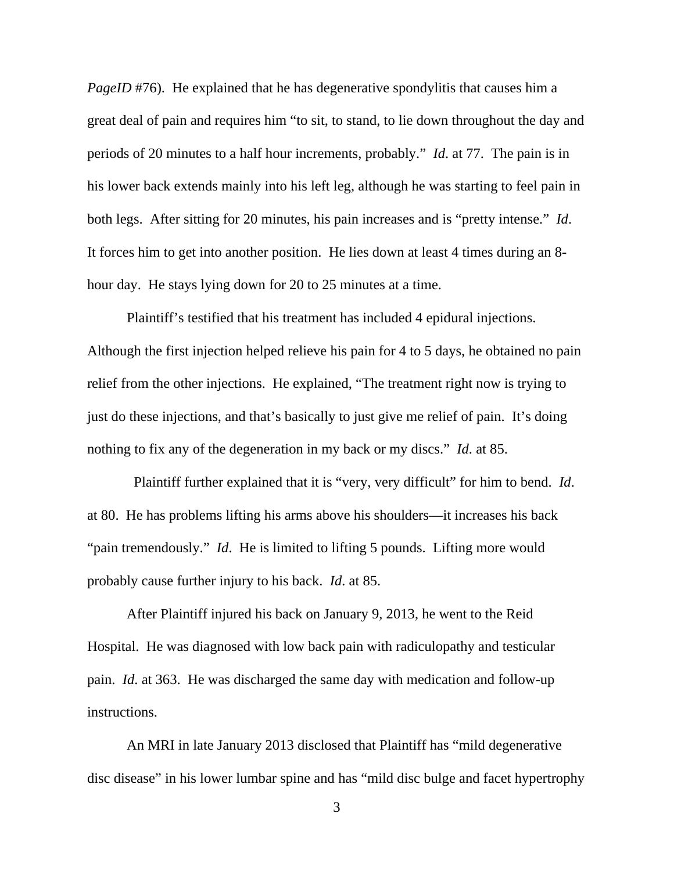*PageID* #76). He explained that he has degenerative spondylitis that causes him a great deal of pain and requires him "to sit, to stand, to lie down throughout the day and periods of 20 minutes to a half hour increments, probably." *Id*. at 77. The pain is in his lower back extends mainly into his left leg, although he was starting to feel pain in both legs. After sitting for 20 minutes, his pain increases and is "pretty intense." *Id*. It forces him to get into another position. He lies down at least 4 times during an 8 hour day. He stays lying down for 20 to 25 minutes at a time.

Plaintiff's testified that his treatment has included 4 epidural injections. Although the first injection helped relieve his pain for 4 to 5 days, he obtained no pain relief from the other injections. He explained, "The treatment right now is trying to just do these injections, and that's basically to just give me relief of pain. It's doing nothing to fix any of the degeneration in my back or my discs." *Id*. at 85.

 Plaintiff further explained that it is "very, very difficult" for him to bend. *Id*. at 80. He has problems lifting his arms above his shoulders—it increases his back "pain tremendously." *Id*. He is limited to lifting 5 pounds. Lifting more would probably cause further injury to his back. *Id*. at 85.

 After Plaintiff injured his back on January 9, 2013, he went to the Reid Hospital. He was diagnosed with low back pain with radiculopathy and testicular pain. *Id*. at 363. He was discharged the same day with medication and follow-up instructions.

 An MRI in late January 2013 disclosed that Plaintiff has "mild degenerative disc disease" in his lower lumbar spine and has "mild disc bulge and facet hypertrophy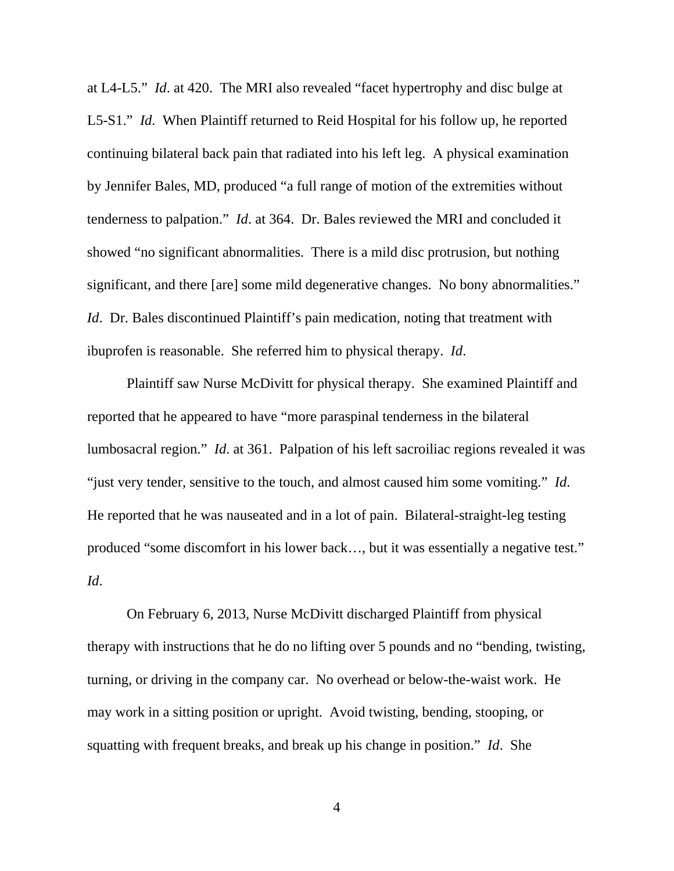at L4-L5." *Id*. at 420. The MRI also revealed "facet hypertrophy and disc bulge at L5-S1." *Id*. When Plaintiff returned to Reid Hospital for his follow up, he reported continuing bilateral back pain that radiated into his left leg. A physical examination by Jennifer Bales, MD, produced "a full range of motion of the extremities without tenderness to palpation." *Id*. at 364. Dr. Bales reviewed the MRI and concluded it showed "no significant abnormalities. There is a mild disc protrusion, but nothing significant, and there [are] some mild degenerative changes. No bony abnormalities." *Id.* Dr. Bales discontinued Plaintiff's pain medication, noting that treatment with ibuprofen is reasonable. She referred him to physical therapy. *Id*.

 Plaintiff saw Nurse McDivitt for physical therapy. She examined Plaintiff and reported that he appeared to have "more paraspinal tenderness in the bilateral lumbosacral region." *Id*. at 361. Palpation of his left sacroiliac regions revealed it was "just very tender, sensitive to the touch, and almost caused him some vomiting." *Id*. He reported that he was nauseated and in a lot of pain. Bilateral-straight-leg testing produced "some discomfort in his lower back…, but it was essentially a negative test." *Id*.

 On February 6, 2013, Nurse McDivitt discharged Plaintiff from physical therapy with instructions that he do no lifting over 5 pounds and no "bending, twisting, turning, or driving in the company car. No overhead or below-the-waist work. He may work in a sitting position or upright. Avoid twisting, bending, stooping, or squatting with frequent breaks, and break up his change in position." *Id*. She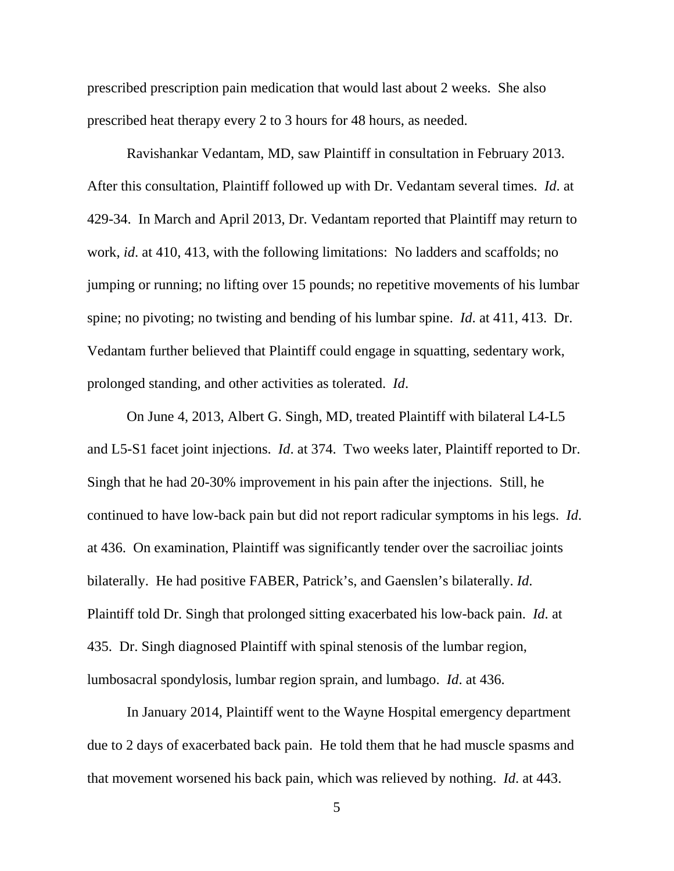prescribed prescription pain medication that would last about 2 weeks. She also prescribed heat therapy every 2 to 3 hours for 48 hours, as needed.

Ravishankar Vedantam, MD, saw Plaintiff in consultation in February 2013. After this consultation, Plaintiff followed up with Dr. Vedantam several times. *Id*. at 429-34. In March and April 2013, Dr. Vedantam reported that Plaintiff may return to work, *id*. at 410, 413, with the following limitations: No ladders and scaffolds; no jumping or running; no lifting over 15 pounds; no repetitive movements of his lumbar spine; no pivoting; no twisting and bending of his lumbar spine. *Id*. at 411, 413. Dr. Vedantam further believed that Plaintiff could engage in squatting, sedentary work, prolonged standing, and other activities as tolerated. *Id*.

On June 4, 2013, Albert G. Singh, MD, treated Plaintiff with bilateral L4-L5 and L5-S1 facet joint injections. *Id*. at 374. Two weeks later, Plaintiff reported to Dr. Singh that he had 20-30% improvement in his pain after the injections. Still, he continued to have low-back pain but did not report radicular symptoms in his legs. *Id*. at 436. On examination, Plaintiff was significantly tender over the sacroiliac joints bilaterally. He had positive FABER, Patrick's, and Gaenslen's bilaterally. *Id*. Plaintiff told Dr. Singh that prolonged sitting exacerbated his low-back pain. *Id*. at 435. Dr. Singh diagnosed Plaintiff with spinal stenosis of the lumbar region, lumbosacral spondylosis, lumbar region sprain, and lumbago. *Id*. at 436.

 In January 2014, Plaintiff went to the Wayne Hospital emergency department due to 2 days of exacerbated back pain. He told them that he had muscle spasms and that movement worsened his back pain, which was relieved by nothing. *Id*. at 443.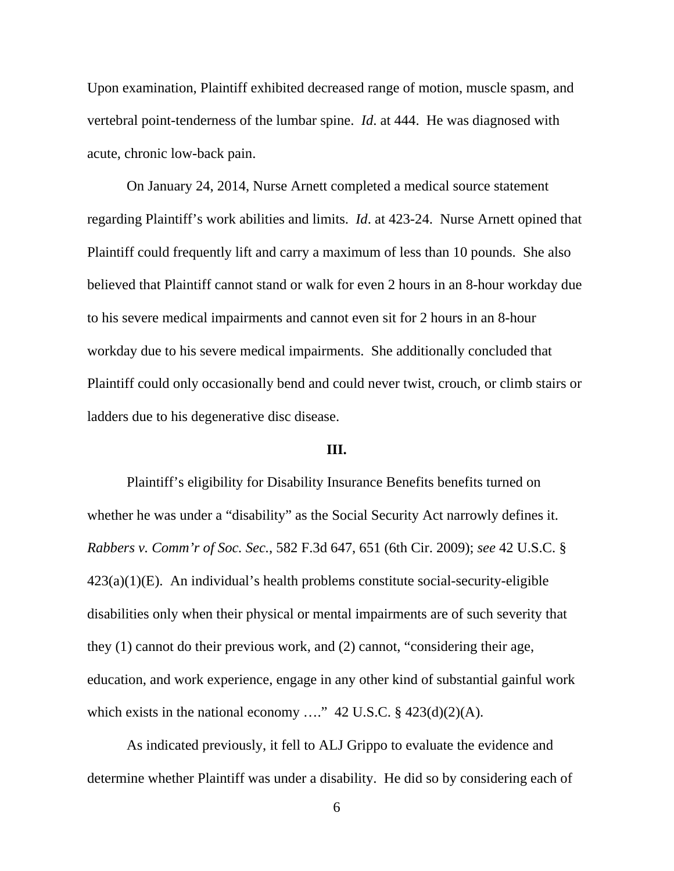Upon examination, Plaintiff exhibited decreased range of motion, muscle spasm, and vertebral point-tenderness of the lumbar spine. *Id*. at 444. He was diagnosed with acute, chronic low-back pain.

 On January 24, 2014, Nurse Arnett completed a medical source statement regarding Plaintiff's work abilities and limits. *Id*. at 423-24. Nurse Arnett opined that Plaintiff could frequently lift and carry a maximum of less than 10 pounds. She also believed that Plaintiff cannot stand or walk for even 2 hours in an 8-hour workday due to his severe medical impairments and cannot even sit for 2 hours in an 8-hour workday due to his severe medical impairments. She additionally concluded that Plaintiff could only occasionally bend and could never twist, crouch, or climb stairs or ladders due to his degenerative disc disease.

## **III.**

 Plaintiff's eligibility for Disability Insurance Benefits benefits turned on whether he was under a "disability" as the Social Security Act narrowly defines it. *Rabbers v. Comm'r of Soc. Sec.*, 582 F.3d 647, 651 (6th Cir. 2009); *see* 42 U.S.C. §  $423(a)(1)(E)$ . An individual's health problems constitute social-security-eligible disabilities only when their physical or mental impairments are of such severity that they (1) cannot do their previous work, and (2) cannot, "considering their age, education, and work experience, engage in any other kind of substantial gainful work which exists in the national economy ...." 42 U.S.C.  $\S$  423(d)(2)(A).

 As indicated previously, it fell to ALJ Grippo to evaluate the evidence and determine whether Plaintiff was under a disability. He did so by considering each of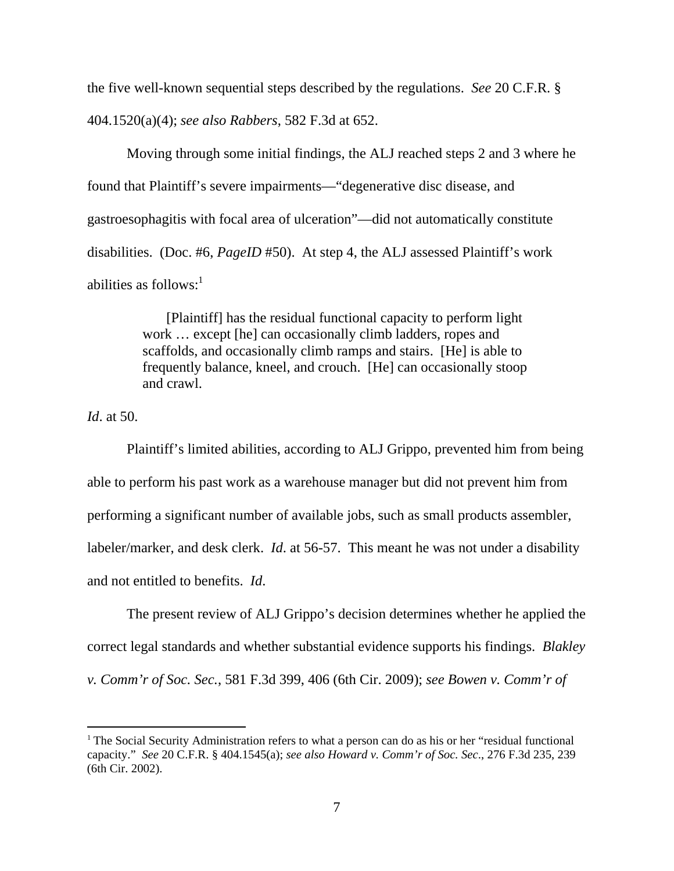the five well-known sequential steps described by the regulations. *See* 20 C.F.R. § 404.1520(a)(4); *see also Rabbers*, 582 F.3d at 652.

 Moving through some initial findings, the ALJ reached steps 2 and 3 where he found that Plaintiff's severe impairments—"degenerative disc disease, and gastroesophagitis with focal area of ulceration"—did not automatically constitute disabilities. (Doc. #6, *PageID* #50). At step 4, the ALJ assessed Plaintiff's work abilities as follows: $<sup>1</sup>$ </sup>

> [Plaintiff] has the residual functional capacity to perform light work … except [he] can occasionally climb ladders, ropes and scaffolds, and occasionally climb ramps and stairs. [He] is able to frequently balance, kneel, and crouch. [He] can occasionally stoop and crawl.

*Id*. at 50.

 Plaintiff's limited abilities, according to ALJ Grippo, prevented him from being able to perform his past work as a warehouse manager but did not prevent him from performing a significant number of available jobs, such as small products assembler, labeler/marker, and desk clerk. *Id*. at 56-57. This meant he was not under a disability and not entitled to benefits. *Id*.

 The present review of ALJ Grippo's decision determines whether he applied the correct legal standards and whether substantial evidence supports his findings. *Blakley v. Comm'r of Soc. Sec.*, 581 F.3d 399, 406 (6th Cir. 2009); *see Bowen v. Comm'r of* 

 $<sup>1</sup>$  The Social Security Administration refers to what a person can do as his or her "residual functional"</sup> capacity." *See* 20 C.F.R. § 404.1545(a); *see also Howard v. Comm'r of Soc. Sec*., 276 F.3d 235, 239 (6th Cir. 2002).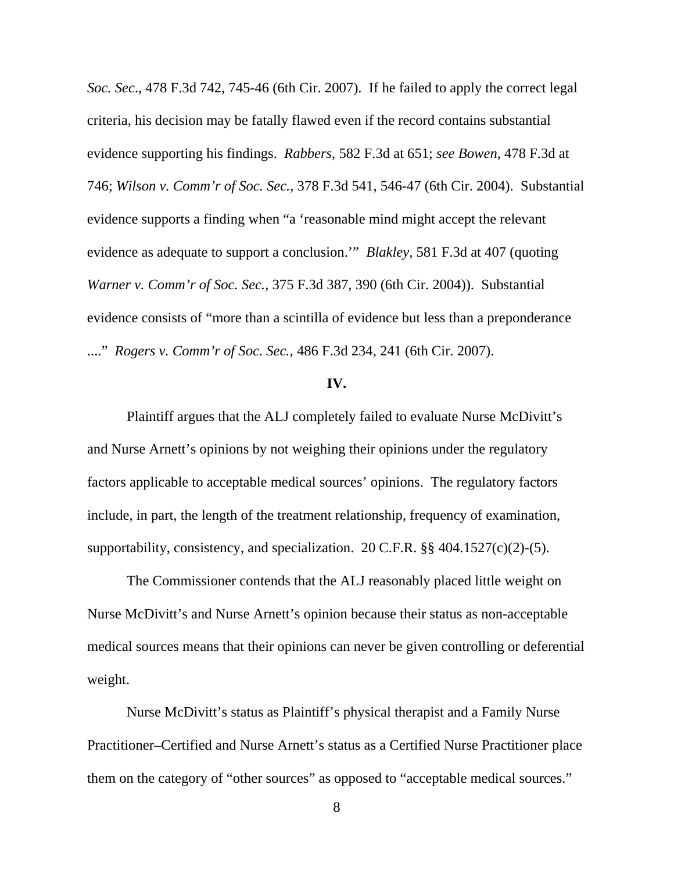*Soc. Sec*., 478 F.3d 742, 745-46 (6th Cir. 2007). If he failed to apply the correct legal criteria, his decision may be fatally flawed even if the record contains substantial evidence supporting his findings. *Rabbers*, 582 F.3d at 651; *see Bowen*, 478 F.3d at 746; *Wilson v. Comm'r of Soc. Sec.*, 378 F.3d 541, 546-47 (6th Cir. 2004). Substantial evidence supports a finding when "a 'reasonable mind might accept the relevant evidence as adequate to support a conclusion.'" *Blakley*, 581 F.3d at 407 (quoting *Warner v. Comm'r of Soc. Sec.*, 375 F.3d 387, 390 (6th Cir. 2004)). Substantial evidence consists of "more than a scintilla of evidence but less than a preponderance ...." *Rogers v. Comm'r of Soc. Sec.*, 486 F.3d 234, 241 (6th Cir. 2007).

## **IV.**

 Plaintiff argues that the ALJ completely failed to evaluate Nurse McDivitt's and Nurse Arnett's opinions by not weighing their opinions under the regulatory factors applicable to acceptable medical sources' opinions. The regulatory factors include, in part, the length of the treatment relationship, frequency of examination, supportability, consistency, and specialization. 20 C.F.R.  $\S$ § 404.1527(c)(2)-(5).

 The Commissioner contends that the ALJ reasonably placed little weight on Nurse McDivitt's and Nurse Arnett's opinion because their status as non-acceptable medical sources means that their opinions can never be given controlling or deferential weight.

 Nurse McDivitt's status as Plaintiff's physical therapist and a Family Nurse Practitioner–Certified and Nurse Arnett's status as a Certified Nurse Practitioner place them on the category of "other sources" as opposed to "acceptable medical sources."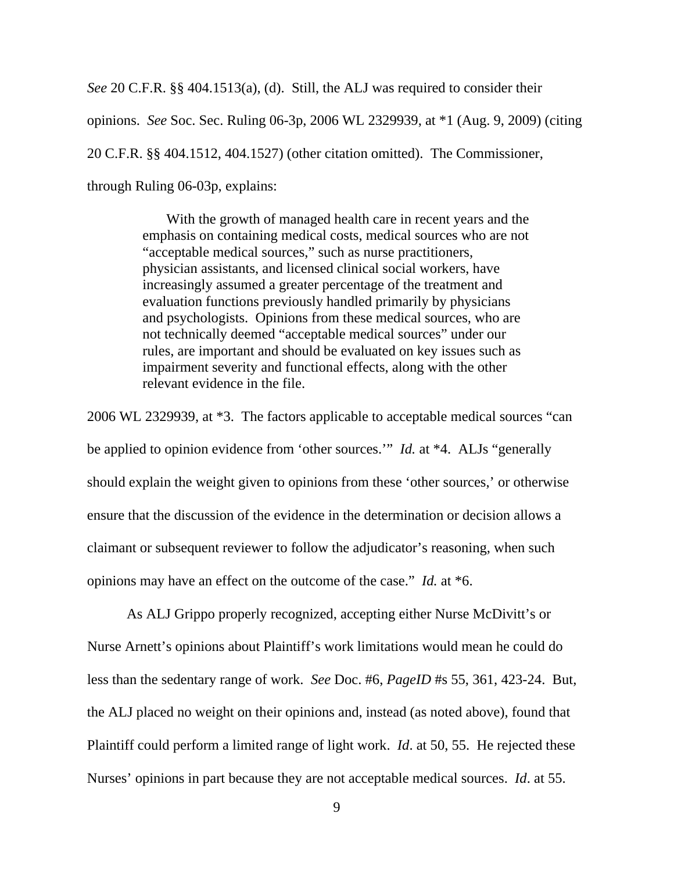*See* 20 C.F.R. §§ 404.1513(a), (d). Still, the ALJ was required to consider their opinions. *See* Soc. Sec. Ruling 06-3p, 2006 WL 2329939, at \*1 (Aug. 9, 2009) (citing 20 C.F.R. §§ 404.1512, 404.1527) (other citation omitted). The Commissioner, through Ruling 06-03p, explains:

> With the growth of managed health care in recent years and the emphasis on containing medical costs, medical sources who are not "acceptable medical sources," such as nurse practitioners, physician assistants, and licensed clinical social workers, have increasingly assumed a greater percentage of the treatment and evaluation functions previously handled primarily by physicians and psychologists. Opinions from these medical sources, who are not technically deemed "acceptable medical sources" under our rules, are important and should be evaluated on key issues such as impairment severity and functional effects, along with the other relevant evidence in the file.

2006 WL 2329939, at \*3. The factors applicable to acceptable medical sources "can be applied to opinion evidence from 'other sources.'" *Id.* at \*4. ALJs "generally should explain the weight given to opinions from these 'other sources,' or otherwise ensure that the discussion of the evidence in the determination or decision allows a claimant or subsequent reviewer to follow the adjudicator's reasoning, when such opinions may have an effect on the outcome of the case." *Id.* at \*6.

 As ALJ Grippo properly recognized, accepting either Nurse McDivitt's or Nurse Arnett's opinions about Plaintiff's work limitations would mean he could do less than the sedentary range of work. *See* Doc. #6, *PageID* #s 55, 361, 423-24. But, the ALJ placed no weight on their opinions and, instead (as noted above), found that Plaintiff could perform a limited range of light work. *Id*. at 50, 55. He rejected these Nurses' opinions in part because they are not acceptable medical sources. *Id*. at 55.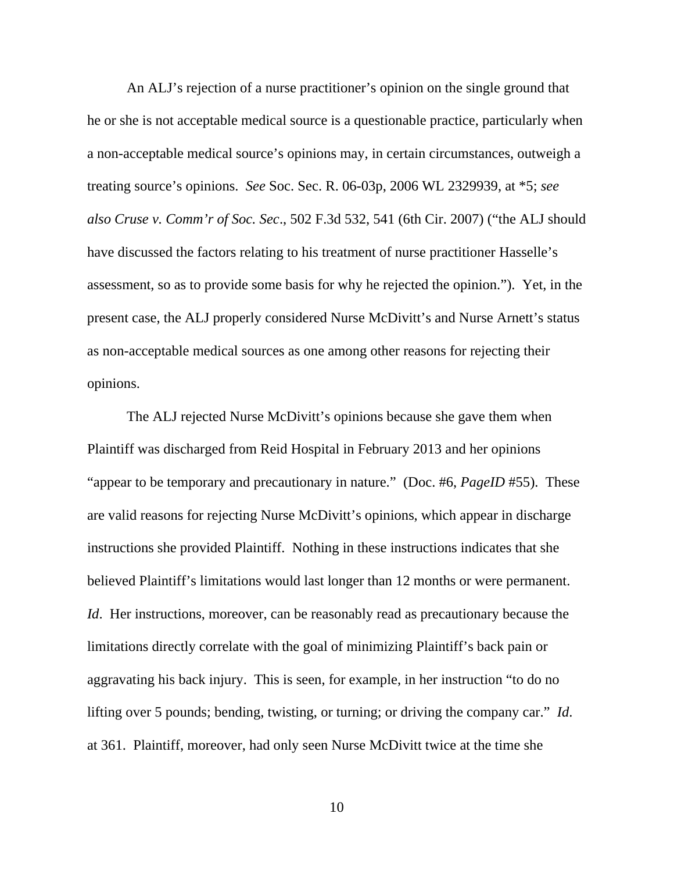An ALJ's rejection of a nurse practitioner's opinion on the single ground that he or she is not acceptable medical source is a questionable practice, particularly when a non-acceptable medical source's opinions may, in certain circumstances, outweigh a treating source's opinions. *See* Soc. Sec. R. 06-03p, 2006 WL 2329939, at \*5; *see also Cruse v. Comm'r of Soc. Sec*., 502 F.3d 532, 541 (6th Cir. 2007) ("the ALJ should have discussed the factors relating to his treatment of nurse practitioner Hasselle's assessment, so as to provide some basis for why he rejected the opinion."). Yet, in the present case, the ALJ properly considered Nurse McDivitt's and Nurse Arnett's status as non-acceptable medical sources as one among other reasons for rejecting their opinions.

 The ALJ rejected Nurse McDivitt's opinions because she gave them when Plaintiff was discharged from Reid Hospital in February 2013 and her opinions "appear to be temporary and precautionary in nature." (Doc. #6, *PageID* #55). These are valid reasons for rejecting Nurse McDivitt's opinions, which appear in discharge instructions she provided Plaintiff. Nothing in these instructions indicates that she believed Plaintiff's limitations would last longer than 12 months or were permanent. *Id.* Her instructions, moreover, can be reasonably read as precautionary because the limitations directly correlate with the goal of minimizing Plaintiff's back pain or aggravating his back injury. This is seen, for example, in her instruction "to do no lifting over 5 pounds; bending, twisting, or turning; or driving the company car." *Id*. at 361. Plaintiff, moreover, had only seen Nurse McDivitt twice at the time she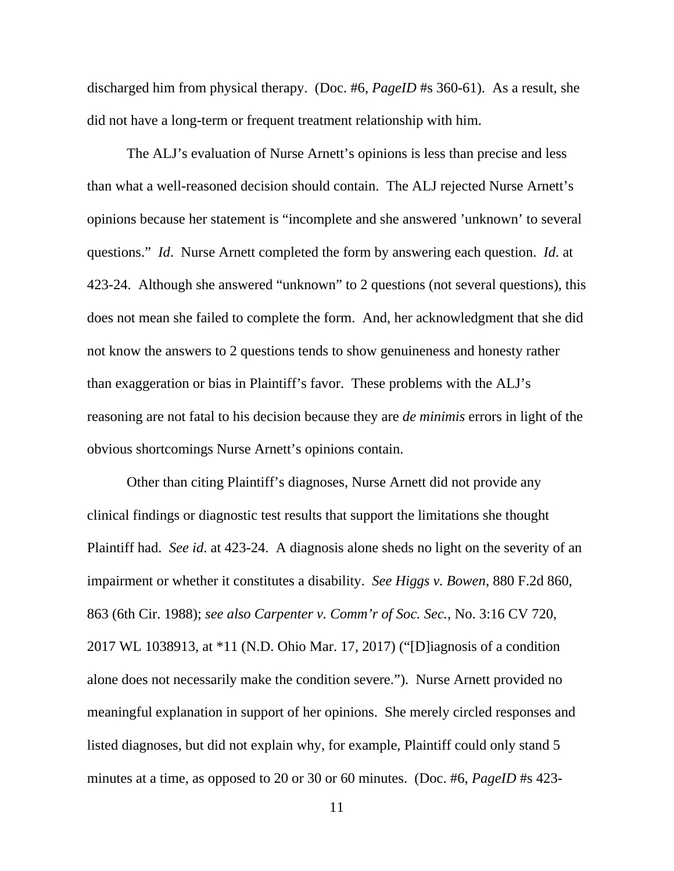discharged him from physical therapy. (Doc. #6, *PageID* #s 360-61). As a result, she did not have a long-term or frequent treatment relationship with him.

 The ALJ's evaluation of Nurse Arnett's opinions is less than precise and less than what a well-reasoned decision should contain. The ALJ rejected Nurse Arnett's opinions because her statement is "incomplete and she answered 'unknown' to several questions." *Id*. Nurse Arnett completed the form by answering each question. *Id*. at 423-24. Although she answered "unknown" to 2 questions (not several questions), this does not mean she failed to complete the form. And, her acknowledgment that she did not know the answers to 2 questions tends to show genuineness and honesty rather than exaggeration or bias in Plaintiff's favor. These problems with the ALJ's reasoning are not fatal to his decision because they are *de minimis* errors in light of the obvious shortcomings Nurse Arnett's opinions contain.

 Other than citing Plaintiff's diagnoses, Nurse Arnett did not provide any clinical findings or diagnostic test results that support the limitations she thought Plaintiff had. *See id*. at 423-24. A diagnosis alone sheds no light on the severity of an impairment or whether it constitutes a disability. *See Higgs v. Bowen*, 880 F.2d 860, 863 (6th Cir. 1988); *see also Carpenter v. Comm'r of Soc. Sec.*, No. 3:16 CV 720, 2017 WL 1038913, at \*11 (N.D. Ohio Mar. 17, 2017) ("[D]iagnosis of a condition alone does not necessarily make the condition severe."). Nurse Arnett provided no meaningful explanation in support of her opinions. She merely circled responses and listed diagnoses, but did not explain why, for example, Plaintiff could only stand 5 minutes at a time, as opposed to 20 or 30 or 60 minutes. (Doc. #6, *PageID* #s 423-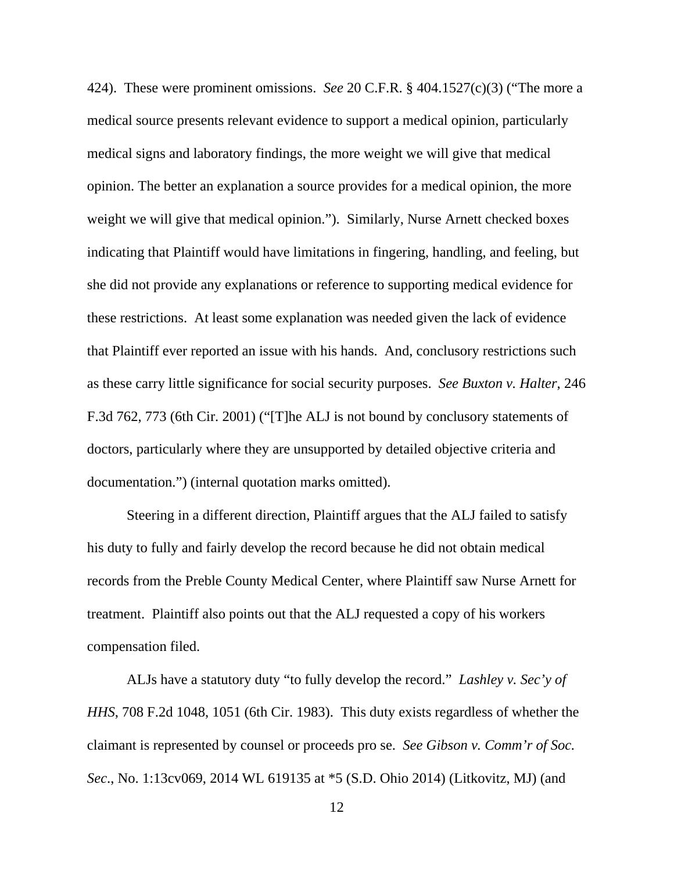424). These were prominent omissions. *See* 20 C.F.R. § 404.1527(c)(3) ("The more a medical source presents relevant evidence to support a medical opinion, particularly medical signs and laboratory findings, the more weight we will give that medical opinion. The better an explanation a source provides for a medical opinion, the more weight we will give that medical opinion."). Similarly, Nurse Arnett checked boxes indicating that Plaintiff would have limitations in fingering, handling, and feeling, but she did not provide any explanations or reference to supporting medical evidence for these restrictions. At least some explanation was needed given the lack of evidence that Plaintiff ever reported an issue with his hands. And, conclusory restrictions such as these carry little significance for social security purposes. *See Buxton v. Halter*, 246 F.3d 762, 773 (6th Cir. 2001) ("[T]he ALJ is not bound by conclusory statements of doctors, particularly where they are unsupported by detailed objective criteria and documentation.") (internal quotation marks omitted).

 Steering in a different direction, Plaintiff argues that the ALJ failed to satisfy his duty to fully and fairly develop the record because he did not obtain medical records from the Preble County Medical Center, where Plaintiff saw Nurse Arnett for treatment. Plaintiff also points out that the ALJ requested a copy of his workers compensation filed.

 ALJs have a statutory duty "to fully develop the record." *Lashley v. Sec'y of HHS*, 708 F.2d 1048, 1051 (6th Cir. 1983). This duty exists regardless of whether the claimant is represented by counsel or proceeds pro se. *See Gibson v. Comm'r of Soc. Sec*., No. 1:13cv069, 2014 WL 619135 at \*5 (S.D. Ohio 2014) (Litkovitz, MJ) (and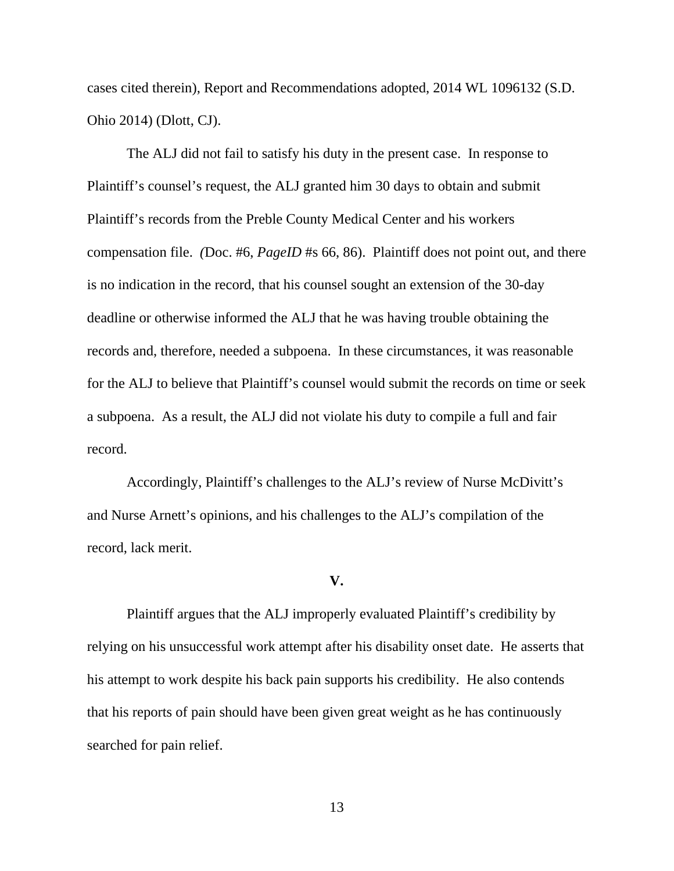cases cited therein), Report and Recommendations adopted, 2014 WL 1096132 (S.D. Ohio 2014) (Dlott, CJ).

 The ALJ did not fail to satisfy his duty in the present case. In response to Plaintiff's counsel's request, the ALJ granted him 30 days to obtain and submit Plaintiff's records from the Preble County Medical Center and his workers compensation file. *(*Doc. #6, *PageID* #s 66, 86). Plaintiff does not point out, and there is no indication in the record, that his counsel sought an extension of the 30-day deadline or otherwise informed the ALJ that he was having trouble obtaining the records and, therefore, needed a subpoena. In these circumstances, it was reasonable for the ALJ to believe that Plaintiff's counsel would submit the records on time or seek a subpoena. As a result, the ALJ did not violate his duty to compile a full and fair record.

 Accordingly, Plaintiff's challenges to the ALJ's review of Nurse McDivitt's and Nurse Arnett's opinions, and his challenges to the ALJ's compilation of the record, lack merit.

#### **V.**

 Plaintiff argues that the ALJ improperly evaluated Plaintiff's credibility by relying on his unsuccessful work attempt after his disability onset date. He asserts that his attempt to work despite his back pain supports his credibility. He also contends that his reports of pain should have been given great weight as he has continuously searched for pain relief.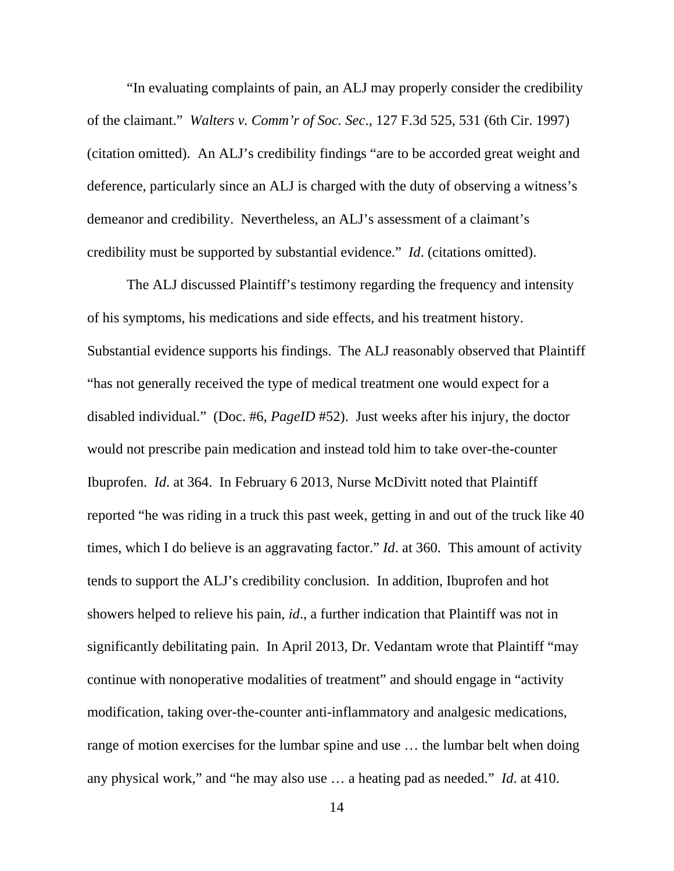"In evaluating complaints of pain, an ALJ may properly consider the credibility of the claimant." *Walters v. Comm'r of Soc. Sec*., 127 F.3d 525, 531 (6th Cir. 1997) (citation omitted). An ALJ's credibility findings "are to be accorded great weight and deference, particularly since an ALJ is charged with the duty of observing a witness's demeanor and credibility. Nevertheless, an ALJ's assessment of a claimant's credibility must be supported by substantial evidence." *Id*. (citations omitted).

 The ALJ discussed Plaintiff's testimony regarding the frequency and intensity of his symptoms, his medications and side effects, and his treatment history. Substantial evidence supports his findings. The ALJ reasonably observed that Plaintiff "has not generally received the type of medical treatment one would expect for a disabled individual." (Doc. #6, *PageID* #52). Just weeks after his injury, the doctor would not prescribe pain medication and instead told him to take over-the-counter Ibuprofen. *Id*. at 364. In February 6 2013, Nurse McDivitt noted that Plaintiff reported "he was riding in a truck this past week, getting in and out of the truck like 40 times, which I do believe is an aggravating factor." *Id*. at 360. This amount of activity tends to support the ALJ's credibility conclusion. In addition, Ibuprofen and hot showers helped to relieve his pain, *id*., a further indication that Plaintiff was not in significantly debilitating pain. In April 2013, Dr. Vedantam wrote that Plaintiff "may continue with nonoperative modalities of treatment" and should engage in "activity modification, taking over-the-counter anti-inflammatory and analgesic medications, range of motion exercises for the lumbar spine and use … the lumbar belt when doing any physical work," and "he may also use … a heating pad as needed." *Id*. at 410.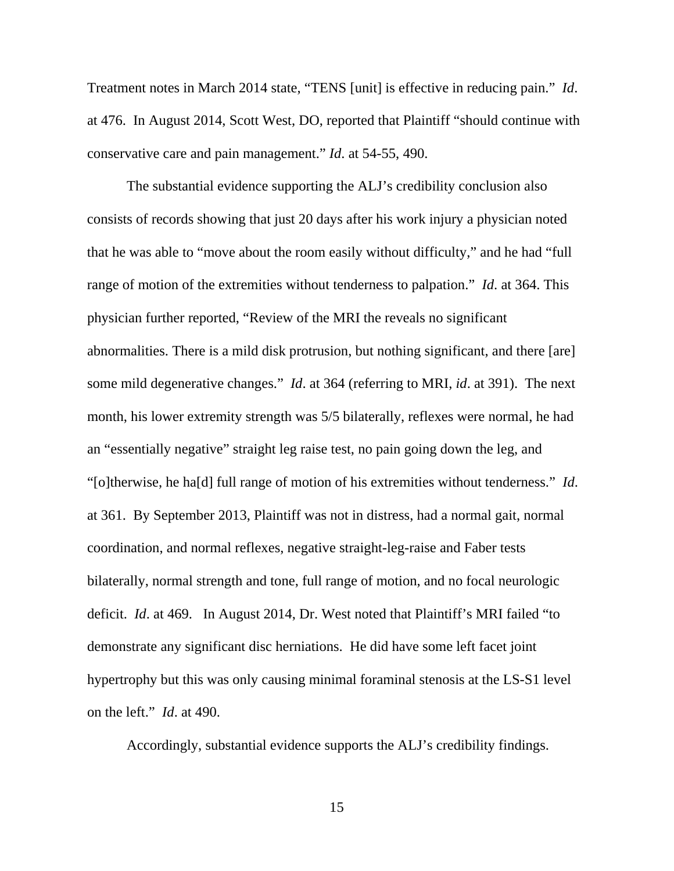Treatment notes in March 2014 state, "TENS [unit] is effective in reducing pain." *Id*. at 476. In August 2014, Scott West, DO, reported that Plaintiff "should continue with conservative care and pain management." *Id*. at 54-55, 490.

 The substantial evidence supporting the ALJ's credibility conclusion also consists of records showing that just 20 days after his work injury a physician noted that he was able to "move about the room easily without difficulty," and he had "full range of motion of the extremities without tenderness to palpation." *Id*. at 364. This physician further reported, "Review of the MRI the reveals no significant abnormalities. There is a mild disk protrusion, but nothing significant, and there [are] some mild degenerative changes." *Id*. at 364 (referring to MRI, *id*. at 391). The next month, his lower extremity strength was 5/5 bilaterally, reflexes were normal, he had an "essentially negative" straight leg raise test, no pain going down the leg, and "[o]therwise, he ha[d] full range of motion of his extremities without tenderness." *Id*. at 361. By September 2013, Plaintiff was not in distress, had a normal gait, normal coordination, and normal reflexes, negative straight-leg-raise and Faber tests bilaterally, normal strength and tone, full range of motion, and no focal neurologic deficit. *Id*. at 469. In August 2014, Dr. West noted that Plaintiff's MRI failed "to demonstrate any significant disc herniations. He did have some left facet joint hypertrophy but this was only causing minimal foraminal stenosis at the LS-S1 level on the left." *Id*. at 490.

Accordingly, substantial evidence supports the ALJ's credibility findings.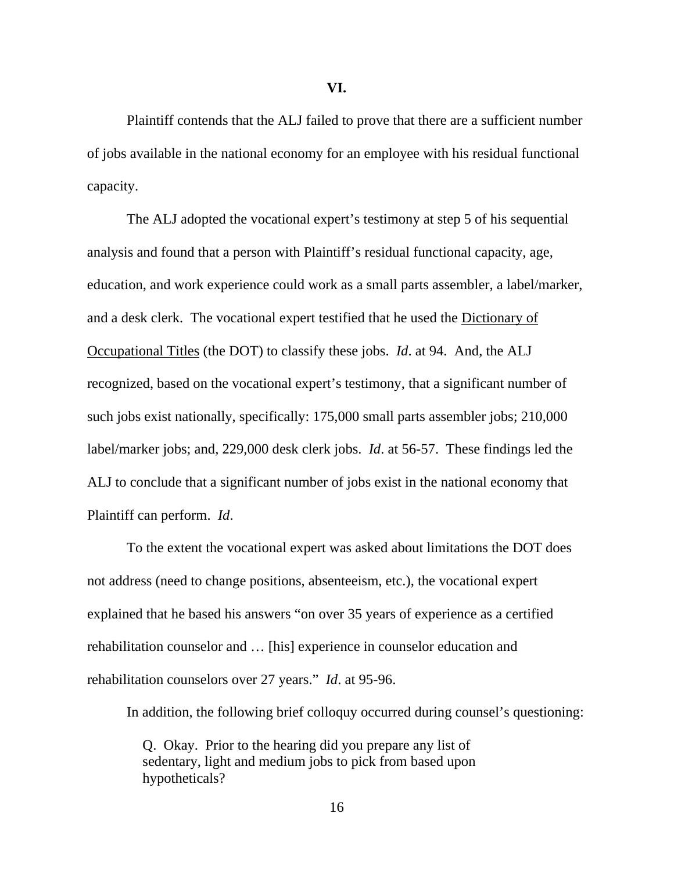Plaintiff contends that the ALJ failed to prove that there are a sufficient number of jobs available in the national economy for an employee with his residual functional capacity.

 The ALJ adopted the vocational expert's testimony at step 5 of his sequential analysis and found that a person with Plaintiff's residual functional capacity, age, education, and work experience could work as a small parts assembler, a label/marker, and a desk clerk. The vocational expert testified that he used the Dictionary of Occupational Titles (the DOT) to classify these jobs. *Id*. at 94. And, the ALJ recognized, based on the vocational expert's testimony, that a significant number of such jobs exist nationally, specifically: 175,000 small parts assembler jobs; 210,000 label/marker jobs; and, 229,000 desk clerk jobs. *Id*. at 56-57. These findings led the ALJ to conclude that a significant number of jobs exist in the national economy that Plaintiff can perform. *Id*.

 To the extent the vocational expert was asked about limitations the DOT does not address (need to change positions, absenteeism, etc.), the vocational expert explained that he based his answers "on over 35 years of experience as a certified rehabilitation counselor and … [his] experience in counselor education and rehabilitation counselors over 27 years." *Id*. at 95-96.

In addition, the following brief colloquy occurred during counsel's questioning:

Q. Okay. Prior to the hearing did you prepare any list of sedentary, light and medium jobs to pick from based upon hypotheticals?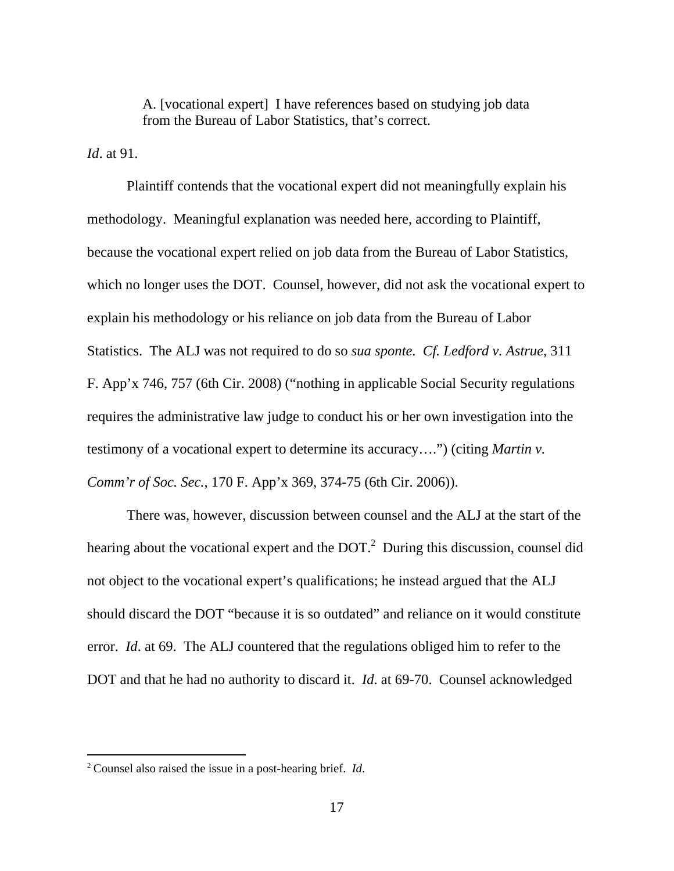A. [vocational expert] I have references based on studying job data from the Bureau of Labor Statistics, that's correct.

*Id*. at 91.

 Plaintiff contends that the vocational expert did not meaningfully explain his methodology. Meaningful explanation was needed here, according to Plaintiff, because the vocational expert relied on job data from the Bureau of Labor Statistics, which no longer uses the DOT. Counsel, however, did not ask the vocational expert to explain his methodology or his reliance on job data from the Bureau of Labor Statistics. The ALJ was not required to do so *sua sponte*. *Cf. Ledford v. Astrue*, 311 F. App'x 746, 757 (6th Cir. 2008) ("nothing in applicable Social Security regulations requires the administrative law judge to conduct his or her own investigation into the testimony of a vocational expert to determine its accuracy….") (citing *Martin v. Comm'r of Soc. Sec.,* 170 F. App'x 369, 374-75 (6th Cir. 2006)).

 There was, however, discussion between counsel and the ALJ at the start of the hearing about the vocational expert and the  $DOT<sup>2</sup>$  During this discussion, counsel did not object to the vocational expert's qualifications; he instead argued that the ALJ should discard the DOT "because it is so outdated" and reliance on it would constitute error. *Id*. at 69. The ALJ countered that the regulations obliged him to refer to the DOT and that he had no authority to discard it. *Id*. at 69-70. Counsel acknowledged

 $\overline{a}$ 

<sup>2</sup> Counsel also raised the issue in a post-hearing brief. *Id*.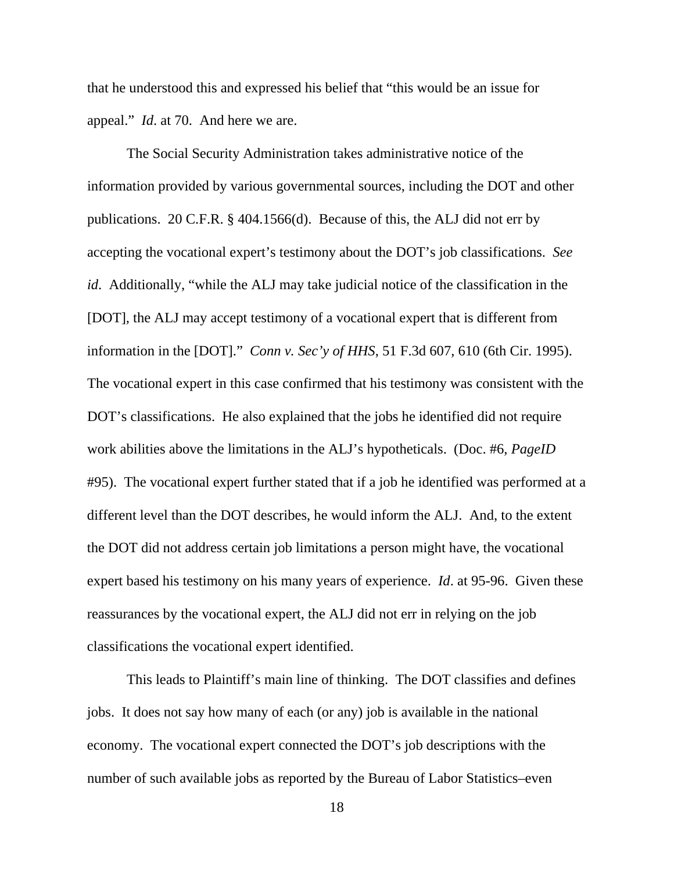that he understood this and expressed his belief that "this would be an issue for appeal." *Id*. at 70. And here we are.

 The Social Security Administration takes administrative notice of the information provided by various governmental sources, including the DOT and other publications. 20 C.F.R. § 404.1566(d). Because of this, the ALJ did not err by accepting the vocational expert's testimony about the DOT's job classifications. *See id*. Additionally, "while the ALJ may take judicial notice of the classification in the [DOT]*,* the ALJ may accept testimony of a vocational expert that is different from information in the [DOT]." *Conn v. Sec'y of HHS*, 51 F.3d 607, 610 (6th Cir. 1995). The vocational expert in this case confirmed that his testimony was consistent with the DOT's classifications. He also explained that the jobs he identified did not require work abilities above the limitations in the ALJ's hypotheticals. (Doc. #6, *PageID* #95). The vocational expert further stated that if a job he identified was performed at a different level than the DOT describes, he would inform the ALJ. And, to the extent the DOT did not address certain job limitations a person might have, the vocational expert based his testimony on his many years of experience. *Id*. at 95-96. Given these reassurances by the vocational expert, the ALJ did not err in relying on the job classifications the vocational expert identified.

 This leads to Plaintiff's main line of thinking. The DOT classifies and defines jobs. It does not say how many of each (or any) job is available in the national economy. The vocational expert connected the DOT's job descriptions with the number of such available jobs as reported by the Bureau of Labor Statistics–even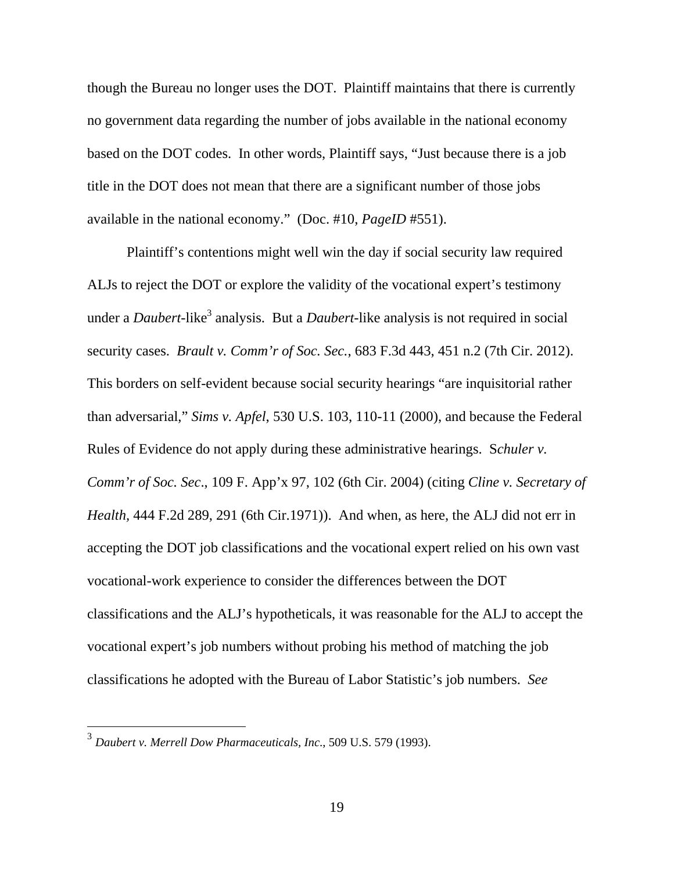though the Bureau no longer uses the DOT. Plaintiff maintains that there is currently no government data regarding the number of jobs available in the national economy based on the DOT codes. In other words, Plaintiff says, "Just because there is a job title in the DOT does not mean that there are a significant number of those jobs available in the national economy." (Doc. #10, *PageID* #551).

 Plaintiff's contentions might well win the day if social security law required ALJs to reject the DOT or explore the validity of the vocational expert's testimony under a *Daubert*-like<sup>3</sup> analysis. But a *Daubert*-like analysis is not required in social security cases. *Brault v. Comm'r of Soc. Sec.*, 683 F.3d 443, 451 n.2 (7th Cir. 2012). This borders on self-evident because social security hearings "are inquisitorial rather than adversarial," *Sims v. Apfel*, 530 U.S. 103, 110-11 (2000), and because the Federal Rules of Evidence do not apply during these administrative hearings. S*chuler v. Comm'r of Soc. Sec*., 109 F. App'x 97, 102 (6th Cir. 2004) (citing *Cline v. Secretary of Health*, 444 F.2d 289, 291 (6th Cir.1971)). And when, as here, the ALJ did not err in accepting the DOT job classifications and the vocational expert relied on his own vast vocational-work experience to consider the differences between the DOT classifications and the ALJ's hypotheticals, it was reasonable for the ALJ to accept the vocational expert's job numbers without probing his method of matching the job classifications he adopted with the Bureau of Labor Statistic's job numbers. *See* 

 3 *Daubert v. Merrell Dow Pharmaceuticals, Inc*., 509 U.S. 579 (1993).